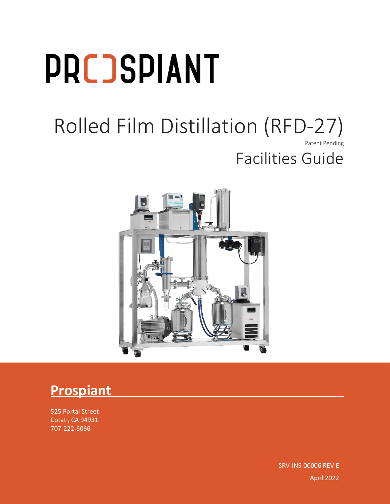# **PRCJSPIANT**

### Rolled Film Distillation (RFD-27) Patent Pending Facilities Guide



### **Prospiant**

525 Portal Street Cotati, CA 94931 707-222-6066

 $\mathsf{R}_\mathsf{P}$ rolled Film Distillation  $\mathsf{R}_\mathsf{P}$  and  $\mathsf{R}_\mathsf{P}$  and  $\mathsf{R}_\mathsf{P}$  and  $\mathsf{R}_\mathsf{P}$  and  $\mathsf{R}_\mathsf{P}$  and  $\mathsf{R}_\mathsf{P}$  and  $\mathsf{R}_\mathsf{P}$  and  $\mathsf{R}_\mathsf{P}$  and  $\mathsf{R}_\mathsf{P}$  and  $\mathsf{R}_\mathsf{$ SRV-INS-00006 REV E April 2022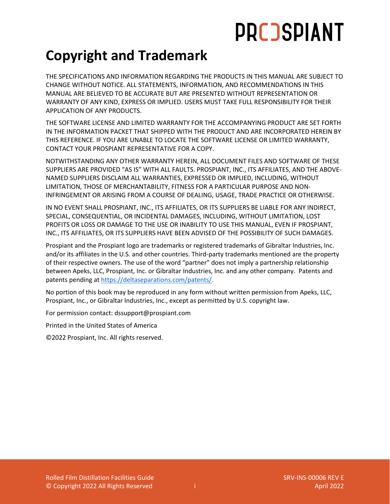# **PRCOSPIANT**

### **Copyright and Trademark**

THE SPECIFICATIONS AND INFORMATION REGARDING THE PRODUCTS IN THIS MANUAL ARE SUBJECT TO CHANGE WITHOUT NOTICE. ALL STATEMENTS, INFORMATION, AND RECOMMENDATIONS IN THIS MANUAL ARE BELIEVED TO BE ACCURATE BUT ARE PRESENTED WITHOUT REPRESENTATION OR WARRANTY OF ANY KIND, EXPRESS OR IMPLIED. USERS MUST TAKE FULL RESPONSIBILITY FOR THEIR APPLICATION OF ANY PRODUCTS.

THE SOFTWARE LICENSE AND LIMITED WARRANTY FOR THE ACCOMPANYING PRODUCT ARE SET FORTH IN THE INFORMATION PACKET THAT SHIPPED WITH THE PRODUCT AND ARE INCORPORATED HEREIN BY THIS REFERENCE. IF YOU ARE UNABLE TO LOCATE THE SOFTWARE LICENSE OR LIMITED WARRANTY, CONTACT YOUR PROSPIANT REPRESENTATIVE FOR A COPY.

NOTWITHSTANDING ANY OTHER WARRANTY HEREIN, ALL DOCUMENT FILES AND SOFTWARE OF THESE SUPPLIERS ARE PROVIDED "AS IS" WITH ALL FAULTS. PROSPIANT, INC., ITS AFFILIATES, AND THE ABOVE-NAMED SUPPLIERS DISCLAIM ALL WARRANTIES, EXPRESSED OR IMPLIED, INCLUDING, WITHOUT LIMITATION, THOSE OF MERCHANTABILITY, FITNESS FOR A PARTICULAR PURPOSE AND NON-INFRINGEMENT OR ARISING FROM A COURSE OF DEALING, USAGE, TRADE PRACTICE OR OTHERWISE.

IN NO EVENT SHALL PROSPIANT, INC., ITS AFFILIATES, OR ITS SUPPLIERS BE LIABLE FOR ANY INDIRECT, SPECIAL, CONSEQUENTIAL, OR INCIDENTAL DAMAGES, INCLUDING, WITHOUT LIMITATION, LOST PROFITS OR LOSS OR DAMAGE TO THE USE OR INABILITY TO USE THIS MANUAL, EVEN IF PROSPIANT, INC., ITS AFFILIATES, OR ITS SUPPLIERS HAVE BEEN ADVISED OF THE POSSIBILITY OF SUCH DAMAGES.

Prospiant and the Prospiant logo are trademarks or registered trademarks of Gibraltar Industries, Inc. and/or its affiliates in the U.S. and other countries. Third-party trademarks mentioned are the property of their respective owners. The use of the word "partner" does not imply a partnership relationship between Apeks, LLC, Prospiant, Inc. or Gibraltar Industries, Inc. and any other company. Patents and patents pending a[t https://deltaseparations.com/patents/.](https://deltaseparations.com/patents/)

No portion of this book may be reproduced in any form without written permission from Apeks, LLC, Prospiant, Inc., or Gibraltar Industries, Inc., except as permitted by U.S. copyright law.

For permission contact: dssupport@prospiant.com

Printed in the United States of America

©2022 Prospiant, Inc. All rights reserved.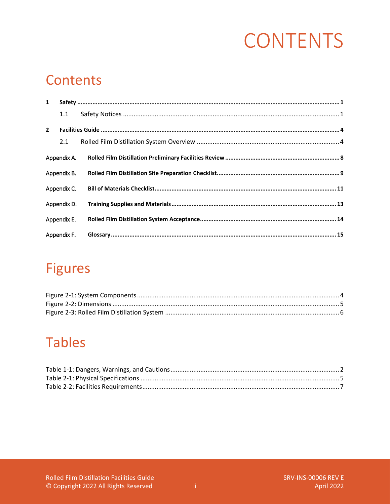# **CONTENTS**

### **Contents**

| $\mathbf{1}$ |             |  |  |  |  |
|--------------|-------------|--|--|--|--|
|              | 1.1         |  |  |  |  |
| $2^{\circ}$  |             |  |  |  |  |
|              | 2.1         |  |  |  |  |
|              | Appendix A. |  |  |  |  |
|              | Appendix B. |  |  |  |  |
|              | Appendix C. |  |  |  |  |
|              | Appendix D. |  |  |  |  |
|              | Appendix E. |  |  |  |  |
|              | Appendix F. |  |  |  |  |

### **Figures**

### **Tables**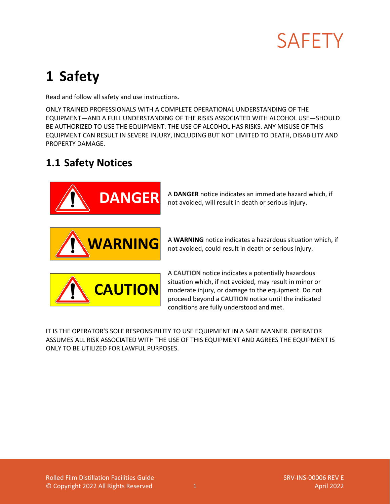

### <span id="page-3-0"></span>**1 Safety**

Read and follow all safety and use instructions.

ONLY TRAINED PROFESSIONALS WITH A COMPLETE OPERATIONAL UNDERSTANDING OF THE EQUIPMENT—AND A FULL UNDERSTANDING OF THE RISKS ASSOCIATED WITH ALCOHOL USE—SHOULD BE AUTHORIZED TO USE THE EQUIPMENT. THE USE OF ALCOHOL HAS RISKS. ANY MISUSE OF THIS EQUIPMENT CAN RESULT IN SEVERE INJURY, INCLUDING BUT NOT LIMITED TO DEATH, DISABILITY AND PROPERTY DAMAGE.

#### <span id="page-3-1"></span>**1.1 Safety Notices**



A **DANGER** notice indicates an immediate hazard which, if not avoided, will result in death or serious injury.



A **WARNING** notice indicates a hazardous situation which, if not avoided, could result in death or serious injury.



A **CAUTION** notice indicates a potentially hazardous situation which, if not avoided, may result in minor or moderate injury, or damage to the equipment. Do not proceed beyond a **CAUTION** notice until the indicated conditions are fully understood and met.

IT IS THE OPERATOR'S SOLE RESPONSIBILITY TO USE EQUIPMENT IN A SAFE MANNER. OPERATOR ASSUMES ALL RISK ASSOCIATED WITH THE USE OF THIS EQUIPMENT AND AGREES THE EQUIPMENT IS ONLY TO BE UTILIZED FOR LAWFUL PURPOSES.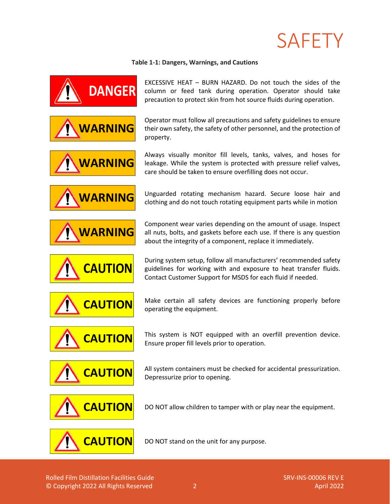# SAFETY

#### **Table 1-1: Dangers, Warnings, and Cautions**

<span id="page-4-0"></span>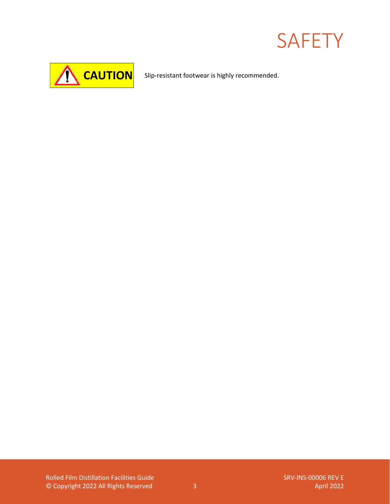# **SAFETY**



Slip-resistant footwear is highly recommended.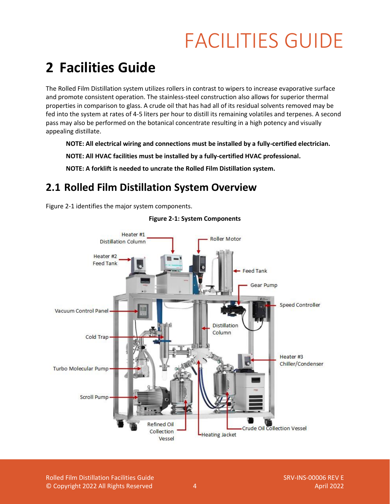### <span id="page-6-0"></span>**2 Facilities Guide**

The Rolled Film Distillation system utilizes rollers in contrast to wipers to increase evaporative surface and promote consistent operation. The stainless-steel construction also allows for superior thermal properties in comparison to glass. A crude oil that has had all of its residual solvents removed may be fed into the system at rates of 4-5 liters per hour to distill its remaining volatiles and terpenes. A second pass may also be performed on the botanical concentrate resulting in a high potency and visually appealing distillate.

**NOTE: All electrical wiring and connections must be installed by a fully-certified electrician.** 

**NOTE: All HVAC facilities must be installed by a fully-certified HVAC professional.**

**NOTE: A forklift is needed to uncrate the Rolled Film Distillation system.**

#### <span id="page-6-1"></span>**2.1 Rolled Film Distillation System Overview**

[Figure 2-1](#page-6-2) identifies the major system components.

<span id="page-6-2"></span>

**Figure 2-1: System Components**

Rolled Film Distillation Facilities Guide SRV-INS-00006 REV E © Copyright 2022 All Rights Reserved 4 April 2022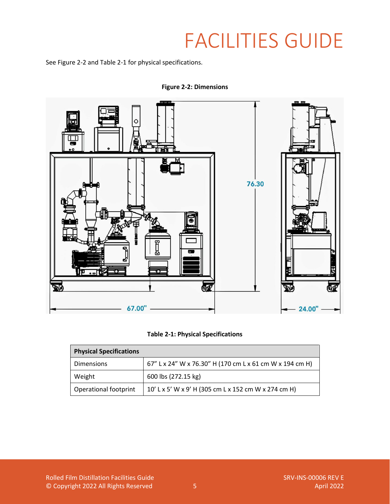Se[e Figure 2-2](#page-7-0) and [Table 2-1](#page-7-1) for physical specifications.

<span id="page-7-0"></span>

**Figure 2-2: Dimensions**

|  |  |  | <b>Table 2-1: Physical Specifications</b> |
|--|--|--|-------------------------------------------|
|--|--|--|-------------------------------------------|

<span id="page-7-1"></span>

| <b>Physical Specifications</b> |                                                          |  |  |  |
|--------------------------------|----------------------------------------------------------|--|--|--|
| <b>Dimensions</b>              | 67" L x 24" W x 76.30" H (170 cm L x 61 cm W x 194 cm H) |  |  |  |
| Weight                         | 600 lbs (272.15 kg)                                      |  |  |  |
| <b>Operational footprint</b>   | 10' L x 5' W x 9' H (305 cm L x 152 cm W x 274 cm H)     |  |  |  |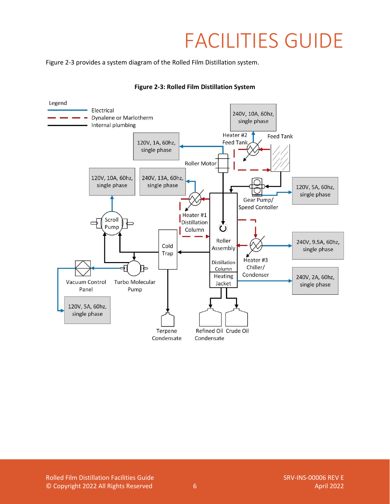[Figure 2-3](#page-8-0) provides a system diagram of the Rolled Film Distillation system.

<span id="page-8-0"></span>

#### **Figure 2-3: Rolled Film Distillation System**

Rolled Film Distillation Facilities Guide SRV-INS-00006 REV E © Copyright 2022 All Rights Reserved 6 April 2022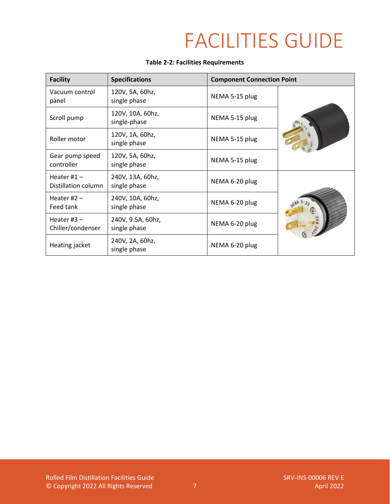#### **Table 2-2: Facilities Requirements**

<span id="page-9-0"></span>

| <b>Facility</b>                      | <b>Specifications</b>             | <b>Component Connection Point</b> |  |
|--------------------------------------|-----------------------------------|-----------------------------------|--|
| Vacuum control<br>panel              | 120V, 5A, 60hz,<br>single phase   | NEMA 5-15 plug                    |  |
| Scroll pump                          | 120V, 10A, 60hz,<br>single-phase  | NEMA 5-15 plug                    |  |
| Roller motor                         | 120V, 1A, 60hz,<br>single phase   | NEMA 5-15 plug                    |  |
| Gear pump speed<br>controller        | 120V, 5A, 60hz,<br>single phase   | NEMA 5-15 plug                    |  |
| Heater $#1 -$<br>Distillation column | 240V, 13A, 60hz,<br>single phase  | NEMA 6-20 plug                    |  |
| Heater $#2 -$<br>Feed tank           | 240V, 10A, 60hz,<br>single phase  | NEMA 6-20 plug                    |  |
| Heater $#3 -$<br>Chiller/condenser   | 240V, 9.5A, 60hz,<br>single phase | NEMA 6-20 plug                    |  |
| Heating jacket                       | 240V, 2A, 60hz,<br>single phase   | NEMA 6-20 plug                    |  |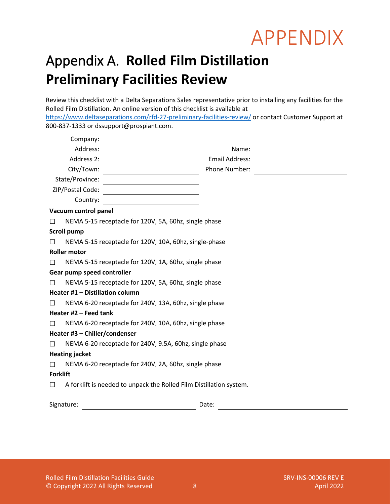### <span id="page-10-0"></span>Appendix A. **Rolled Film Distillation Preliminary Facilities Review**

Review this checklist with a Delta Separations Sales representative prior to installing any facilities for the Rolled Film Distillation. An online version of this checklist is available at <https://www.deltaseparations.com/rfd-27-preliminary-facilities-review/> or contact Customer Support at 800-837-1333 or dssupport@prospiant.com.

| Company:                        |                                                                     |
|---------------------------------|---------------------------------------------------------------------|
| Address:                        | Name:                                                               |
| Address 2:                      | Email Address:                                                      |
| City/Town:                      | Phone Number:                                                       |
| State/Province:                 |                                                                     |
| ZIP/Postal Code:                |                                                                     |
| Country:                        |                                                                     |
| Vacuum control panel            |                                                                     |
| □                               | NEMA 5-15 receptacle for 120V, 5A, 60hz, single phase               |
| <b>Scroll pump</b>              |                                                                     |
| $\Box$                          | NEMA 5-15 receptacle for 120V, 10A, 60hz, single-phase              |
| <b>Roller motor</b>             |                                                                     |
| $\Box$                          | NEMA 5-15 receptacle for 120V, 1A, 60hz, single phase               |
| Gear pump speed controller      |                                                                     |
| $\Box$                          | NEMA 5-15 receptacle for 120V, 5A, 60hz, single phase               |
| Heater #1 - Distillation column |                                                                     |
| П                               | NEMA 6-20 receptacle for 240V, 13A, 60hz, single phase              |
| Heater #2 - Feed tank           |                                                                     |
| П                               | NEMA 6-20 receptacle for 240V, 10A, 60hz, single phase              |
| Heater #3 - Chiller/condenser   |                                                                     |
| П                               | NEMA 6-20 receptacle for 240V, 9.5A, 60hz, single phase             |
| <b>Heating jacket</b>           |                                                                     |
| $\Box$                          | NEMA 6-20 receptacle for 240V, 2A, 60hz, single phase               |
| <b>Forklift</b>                 |                                                                     |
| $\Box$                          | A forklift is needed to unpack the Rolled Film Distillation system. |
| Signature:                      | Date:                                                               |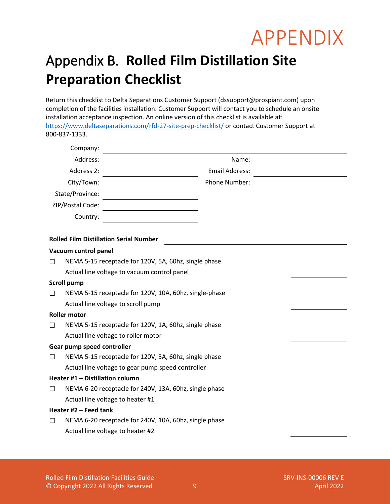### <span id="page-11-0"></span>Appendix B. **Rolled Film Distillation Site Preparation Checklist**

Return this checklist to Delta Separations Customer Support (dssupport@prospiant.com) upon completion of the facilities installation. Customer Support will contact you to schedule an onsite installation acceptance inspection. An online version of this checklist is available at: <https://www.deltaseparations.com/rfd-27-site-prep-checklist/> or contact Customer Support at 800-837-1333.

| Company:         |                       |  |
|------------------|-----------------------|--|
| Address:         | Name:                 |  |
| Address 2:       | <b>Email Address:</b> |  |
| City/Town:       | Phone Number:         |  |
| State/Province:  |                       |  |
| ZIP/Postal Code: |                       |  |
| Country:         |                       |  |
|                  |                       |  |

#### **Rolled Film Distillation Serial Number**

#### **Vacuum control panel**

☐ NEMA 5-15 receptacle for 120V, 5A, 60hz, single phase Actual line voltage to vacuum control panel

#### **Scroll pump**

☐ NEMA 5-15 receptacle for 120V, 10A, 60hz, single-phase Actual line voltage to scroll pump

#### **Roller motor**

☐ NEMA 5-15 receptacle for 120V, 1A, 60hz, single phase Actual line voltage to roller motor

#### **Gear pump speed controller**

☐ NEMA 5-15 receptacle for 120V, 5A, 60hz, single phase Actual line voltage to gear pump speed controller

#### **Heater #1 – Distillation column**

☐ NEMA 6-20 receptacle for 240V, 13A, 60hz, single phase Actual line voltage to heater #1

#### **Heater #2 – Feed tank**

☐ NEMA 6-20 receptacle for 240V, 10A, 60hz, single phase Actual line voltage to heater #2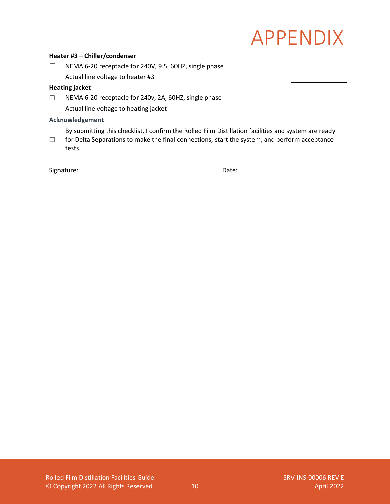#### **Heater #3 – Chiller/condenser**

☐ NEMA 6-20 receptacle for 240V, 9.5, 60HZ, single phase Actual line voltage to heater #3

#### **Heating jacket**

☐ NEMA 6-20 receptacle for 240v, 2A, 60HZ, single phase Actual line voltage to heating jacket

#### **Acknowledgement**

By submitting this checklist, I confirm the Rolled Film Distillation facilities and system are ready

☐ for Delta Separations to make the final connections, start the system, and perform acceptance tests.

| Signature: | Date: |
|------------|-------|
|            |       |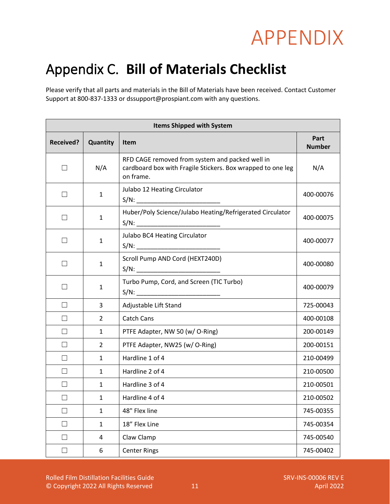### <span id="page-13-0"></span>Appendix C. **Bill of Materials Checklist**

Please verify that all parts and materials in the Bill of Materials have been received. Contact Customer Support at 800-837-1333 or dssupport@prospiant.com with any questions.

| <b>Items Shipped with System</b> |              |                                                                                                                             |                       |  |  |
|----------------------------------|--------------|-----------------------------------------------------------------------------------------------------------------------------|-----------------------|--|--|
| <b>Received?</b>                 | Quantity     | Item                                                                                                                        | Part<br><b>Number</b> |  |  |
| $\Box$                           | N/A          | RFD CAGE removed from system and packed well in<br>cardboard box with Fragile Stickers. Box wrapped to one leg<br>on frame. | N/A                   |  |  |
| П                                | $\mathbf{1}$ | Julabo 12 Heating Circulator                                                                                                | 400-00076             |  |  |
| П                                | 1            | Huber/Poly Science/Julabo Heating/Refrigerated Circulator                                                                   | 400-00075             |  |  |
| $\vert \ \ \vert$                | $\mathbf{1}$ | Julabo BC4 Heating Circulator                                                                                               | 400-00077             |  |  |
| П                                | 1            | Scroll Pump AND Cord (HEXT240D)                                                                                             | 400-00080             |  |  |
| $\Box$                           | $\mathbf{1}$ | Turbo Pump, Cord, and Screen (TIC Turbo)                                                                                    | 400-00079             |  |  |
| П                                | 3            | Adjustable Lift Stand                                                                                                       | 725-00043             |  |  |
| $\Box$                           | 2            | <b>Catch Cans</b>                                                                                                           | 400-00108             |  |  |
| П                                | 1            | PTFE Adapter, NW 50 (w/O-Ring)                                                                                              | 200-00149             |  |  |
| П                                | 2            | PTFE Adapter, NW25 (w/O-Ring)                                                                                               | 200-00151             |  |  |
| $\vert \ \ \vert$                | 1            | Hardline 1 of 4                                                                                                             | 210-00499             |  |  |
| $\Box$                           | 1            | Hardline 2 of 4                                                                                                             | 210-00500             |  |  |
| П                                | $\mathbf{1}$ | Hardline 3 of 4                                                                                                             | 210-00501             |  |  |
| $\overline{\phantom{a}}$         | 1            | Hardline 4 of 4                                                                                                             | 210-00502             |  |  |
| П                                | $\mathbf{1}$ | 48" Flex line                                                                                                               | 745-00355             |  |  |
| $\Box$                           | $\mathbf 1$  | 18" Flex Line                                                                                                               | 745-00354             |  |  |
| П                                | 4            | Claw Clamp                                                                                                                  | 745-00540             |  |  |
| $\Box$                           | 6            | <b>Center Rings</b>                                                                                                         | 745-00402             |  |  |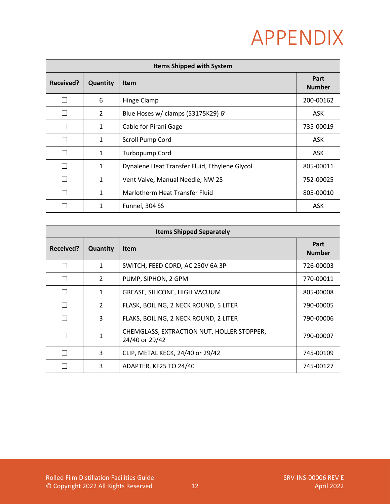| <b>Items Shipped with System</b> |              |                                               |                       |  |
|----------------------------------|--------------|-----------------------------------------------|-----------------------|--|
| Received?                        | Quantity     | <b>Item</b>                                   | Part<br><b>Number</b> |  |
|                                  | 6            | Hinge Clamp                                   | 200-00162             |  |
|                                  | 2            | Blue Hoses w/ clamps (53175K29) 6'            | <b>ASK</b>            |  |
|                                  | 1            | Cable for Pirani Gage                         | 735-00019             |  |
|                                  | 1            | Scroll Pump Cord                              | ASK.                  |  |
|                                  | 1            | Turbopump Cord                                | ASK.                  |  |
|                                  | 1            | Dynalene Heat Transfer Fluid, Ethylene Glycol | 805-00011             |  |
|                                  | 1            | Vent Valve, Manual Needle, NW 25              | 752-00025             |  |
|                                  | $\mathbf{1}$ | Marlotherm Heat Transfer Fluid                | 805-00010             |  |
|                                  | 1            | Funnel, 304 SS                                | <b>ASK</b>            |  |

| <b>Items Shipped Separately</b> |               |                                                              |                       |  |
|---------------------------------|---------------|--------------------------------------------------------------|-----------------------|--|
| Received?                       | Quantity      | Item                                                         | Part<br><b>Number</b> |  |
|                                 | 1             | SWITCH, FEED CORD, AC 250V 6A 3P                             | 726-00003             |  |
|                                 | $\mathcal{L}$ | PUMP, SIPHON, 2 GPM                                          | 770-00011             |  |
|                                 | 1             | GREASE, SILICONE, HIGH VACUUM                                | 805-00008             |  |
|                                 | $\mathcal{P}$ | FLASK, BOILING, 2 NECK ROUND, 5 LITER                        | 790-00005             |  |
|                                 | 3             | FLAKS, BOILING, 2 NECK ROUND, 2 LITER                        | 790-00006             |  |
|                                 |               | CHEMGLASS, EXTRACTION NUT, HOLLER STOPPER,<br>24/40 or 29/42 | 790-00007             |  |
|                                 | 3             | CLIP, METAL KECK, 24/40 or 29/42                             | 745-00109             |  |
|                                 | 3             | ADAPTER, KF25 TO 24/40                                       | 745-00127             |  |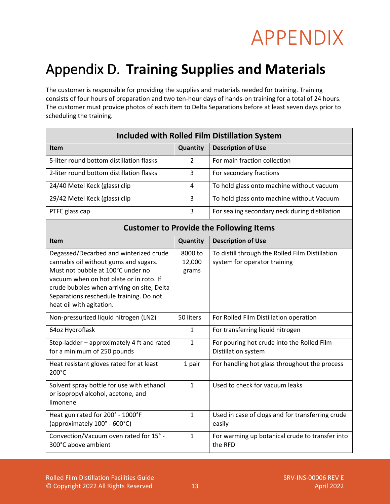### <span id="page-15-0"></span>Appendix D. **Training Supplies and Materials**

The customer is responsible for providing the supplies and materials needed for training. Training consists of four hours of preparation and two ten-hour days of hands-on training for a total of 24 hours. The customer must provide photos of each item to Delta Separations before at least seven days prior to scheduling the training.

| <b>Included with Rolled Film Distillation System</b>                                                                                                                                                                                                                                 |                            |                                                                                 |  |  |
|--------------------------------------------------------------------------------------------------------------------------------------------------------------------------------------------------------------------------------------------------------------------------------------|----------------------------|---------------------------------------------------------------------------------|--|--|
| <b>Item</b>                                                                                                                                                                                                                                                                          | Quantity                   | <b>Description of Use</b>                                                       |  |  |
| 5-liter round bottom distillation flasks                                                                                                                                                                                                                                             | $\mathcal{P}$              | For main fraction collection                                                    |  |  |
| 2-liter round bottom distillation flasks                                                                                                                                                                                                                                             | 3                          | For secondary fractions                                                         |  |  |
| 24/40 Metel Keck (glass) clip                                                                                                                                                                                                                                                        | 4                          | To hold glass onto machine without vacuum                                       |  |  |
| 29/42 Metel Keck (glass) clip                                                                                                                                                                                                                                                        | 3                          | To hold glass onto machine without Vacuum                                       |  |  |
| PTFE glass cap                                                                                                                                                                                                                                                                       | 3                          | For sealing secondary neck during distillation                                  |  |  |
| <b>Customer to Provide the Following Items</b>                                                                                                                                                                                                                                       |                            |                                                                                 |  |  |
| Item                                                                                                                                                                                                                                                                                 | Quantity                   | <b>Description of Use</b>                                                       |  |  |
| Degassed/Decarbed and winterized crude<br>cannabis oil without gums and sugars.<br>Must not bubble at 100°C under no<br>vacuum when on hot plate or in roto. If<br>crude bubbles when arriving on site, Delta<br>Separations reschedule training. Do not<br>heat oil with agitation. | 8000 to<br>12,000<br>grams | To distill through the Rolled Film Distillation<br>system for operator training |  |  |
| Non-pressurized liquid nitrogen (LN2)                                                                                                                                                                                                                                                | 50 liters                  | For Rolled Film Distillation operation                                          |  |  |
| 64oz Hydroflask                                                                                                                                                                                                                                                                      | $\mathbf{1}$               | For transferring liquid nitrogen                                                |  |  |
| Step-ladder - approximately 4 ft and rated<br>for a minimum of 250 pounds                                                                                                                                                                                                            | $\mathbf{1}$               | For pouring hot crude into the Rolled Film<br>Distillation system               |  |  |
| Heat resistant gloves rated for at least<br>200°C                                                                                                                                                                                                                                    | 1 pair                     | For handling hot glass throughout the process                                   |  |  |
| Solvent spray bottle for use with ethanol<br>or isopropyl alcohol, acetone, and<br>limonene                                                                                                                                                                                          | $\mathbf{1}$               | Used to check for vacuum leaks                                                  |  |  |
| Heat gun rated for 200° - 1000°F<br>(approximately 100° - 600°C)                                                                                                                                                                                                                     | $\mathbf{1}$               | Used in case of clogs and for transferring crude<br>easily                      |  |  |
| Convection/Vacuum oven rated for 15° -<br>300°C above ambient                                                                                                                                                                                                                        | $\mathbf{1}$               | For warming up botanical crude to transfer into<br>the RFD                      |  |  |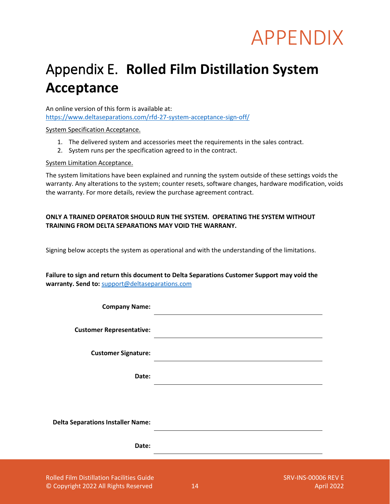### <span id="page-16-0"></span>Appendix E. **Rolled Film Distillation System Acceptance**

An online version of this form is available at: <https://www.deltaseparations.com/rfd-27-system-acceptance-sign-off/>

System Specification Acceptance.

- 1. The delivered system and accessories meet the requirements in the sales contract.
- 2. System runs per the specification agreed to in the contract.

#### System Limitation Acceptance.

The system limitations have been explained and running the system outside of these settings voids the warranty. Any alterations to the system; counter resets, software changes, hardware modification, voids the warranty. For more details, review the purchase agreement contract.

#### **ONLY A TRAINED OPERATOR SHOULD RUN THE SYSTEM. OPERATING THE SYSTEM WITHOUT TRAINING FROM DELTA SEPARATIONS MAY VOID THE WARRANY.**

Signing below accepts the system as operational and with the understanding of the limitations.

**Failure to sign and return this document to Delta Separations Customer Support may void the warranty. Send to:** [support@deltaseparations.com](mailto:support@deltaseparations.com)

| <b>Company Name:</b>                             |                                                                                                                       |  |
|--------------------------------------------------|-----------------------------------------------------------------------------------------------------------------------|--|
| <b>Customer Representative:</b>                  | <u> 1989 - Andrea Barbara, Amerikaansk politiker (* 1989)</u>                                                         |  |
| <b>Customer Signature:</b>                       | <u> 1989 - Johann Barnett, fransk politiker (d. 1989)</u>                                                             |  |
| Date:                                            | <u> 1980 - Johann Stein, marwolaethau (b. 1980)</u>                                                                   |  |
|                                                  |                                                                                                                       |  |
| <b>Delta Separations Installer Name:</b>         | <u> 1980 - Johann Stoff, deutscher Stoff, der Stoff, der Stoff, der Stoff, der Stoff, der Stoff, der Stoff, der S</u> |  |
| Date:                                            |                                                                                                                       |  |
| <b>Rolled Film Distillation Facilities Guide</b> | <b>SRV-INS-00006 REV E</b>                                                                                            |  |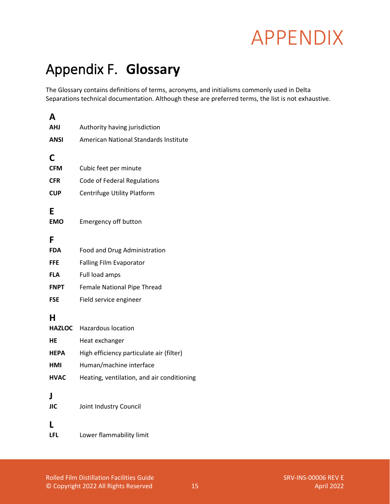### <span id="page-17-0"></span>Appendix F. **Glossary**

The Glossary contains definitions of terms, acronyms, and initialisms commonly used in Delta Separations technical documentation. Although these are preferred terms, the list is not exhaustive.

| A               |                                            |
|-----------------|--------------------------------------------|
| AHJ             | Authority having jurisdiction              |
| ANSI            | American National Standards Institute      |
| C               |                                            |
| <b>CFM</b>      | Cubic feet per minute                      |
| <b>CFR</b>      | Code of Federal Regulations                |
| <b>CUP</b>      | Centrifuge Utility Platform                |
| E<br>EMO        | <b>Emergency off button</b>                |
| F               |                                            |
| FDA             | Food and Drug Administration               |
| FFE             | <b>Falling Film Evaporator</b>             |
| FLA             | Full load amps                             |
| FNPT            | Female National Pipe Thread                |
| <b>FSE</b>      | Field service engineer                     |
| н               |                                            |
| <b>HAZLOC</b>   | <b>Hazardous location</b>                  |
| HE              | Heat exchanger                             |
| HEPA            | High efficiency particulate air (filter)   |
| HMI             | Human/machine interface                    |
| <b>HVAC</b>     | Heating, ventilation, and air conditioning |
| I<br><b>JIC</b> | Joint Industry Council                     |
| LFL             | Lower flammability limit                   |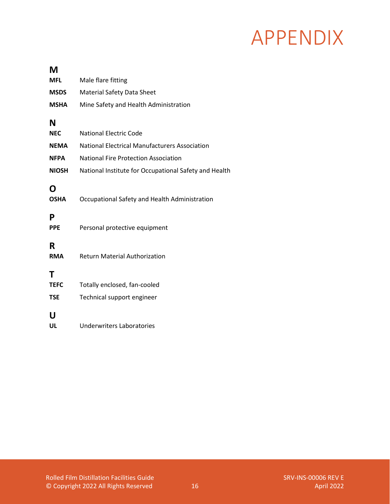| М                              |                                                            |
|--------------------------------|------------------------------------------------------------|
| MFL                            | Male flare fitting                                         |
| <b>MSDS</b>                    | <b>Material Safety Data Sheet</b>                          |
| <b>MSHA</b>                    | Mine Safety and Health Administration                      |
| N                              |                                                            |
| <b>NEC</b>                     | <b>National Electric Code</b>                              |
| <b>NEMA</b>                    | <b>National Electrical Manufacturers Association</b>       |
| <b>NFPA</b>                    | <b>National Fire Protection Association</b>                |
| <b>NIOSH</b>                   | National Institute for Occupational Safety and Health      |
| O<br><b>OSHA</b>               | Occupational Safety and Health Administration              |
| P<br><b>PPE</b>                | Personal protective equipment                              |
| R<br><b>RMA</b>                | <b>Return Material Authorization</b>                       |
| Τ<br><b>TEFC</b><br><b>TSE</b> | Totally enclosed, fan-cooled<br>Technical support engineer |
| U<br>UL                        | <b>Underwriters Laboratories</b>                           |